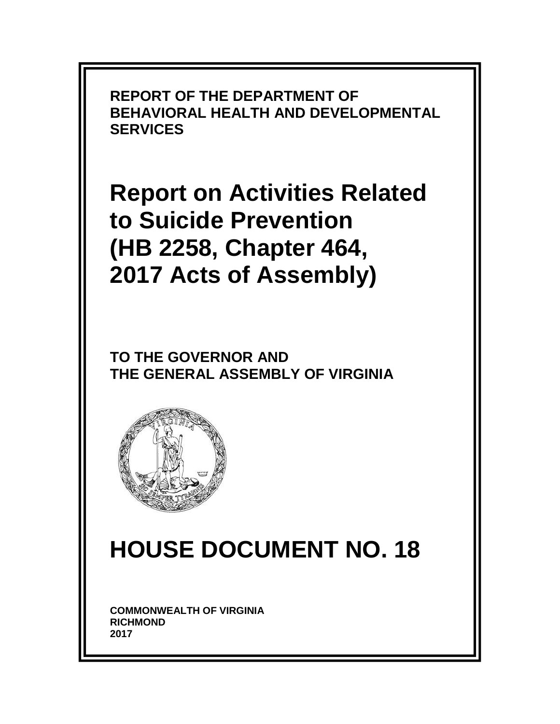**REPORT OF THE DEPARTMENT OF BEHAVIORAL HEALTH AND DEVELOPMENTAL SERVICES**

**Report on Activities Related to Suicide Prevention (HB 2258, Chapter 464, 2017 Acts of Assembly)**

**TO THE GOVERNOR AND THE GENERAL ASSEMBLY OF VIRGINIA** 



# **HOUSE DOCUMENT NO. 18**

**COMMONWEALTH OF VIRGINIA RICHMOND 2017**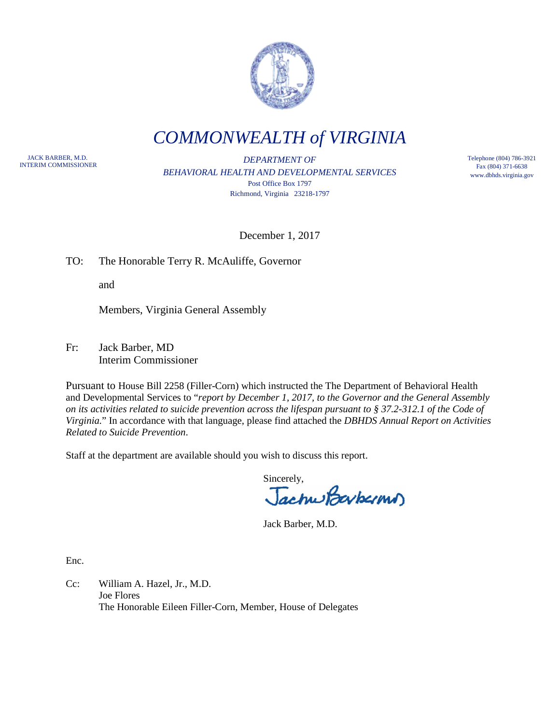

*COMMONWEALTH of VIRGINIA*

JACK BARBER, M.D.

**INTERIM COMMISSIONER INTERIM COMMISSIONER DEPARTMENT OF** *BEHAVIORAL HEALTH AND DEVELOPMENTAL SERVICES* Post Office Box 1797 Richmond, Virginia 23218-1797

Telephone (804) 786-3921 Fax (804) 371-6638 www.dbhds.virginia.gov

December 1, 2017

TO: The Honorable Terry R. McAuliffe, Governor

and

Members, Virginia General Assembly

Fr: Jack Barber, MD Interim Commissioner

Pursuant to House Bill 2258 (Filler-Corn) which instructed the The Department of Behavioral Health and Developmental Services to "*report by December 1, 2017, to the Governor and the General Assembly on its activities related to suicide prevention across the lifespan pursuant to § 37.2-312.1 of the Code of Virginia.*" In accordance with that language, please find attached the *DBHDS Annual Report on Activities Related to Suicide Prevention*.

Staff at the department are available should you wish to discuss this report.

Sincerely,<br>Jachus Baybarms

Jack Barber, M.D.

Enc.

Cc: William A. Hazel, Jr., M.D. Joe Flores The Honorable Eileen Filler-Corn, Member, House of Delegates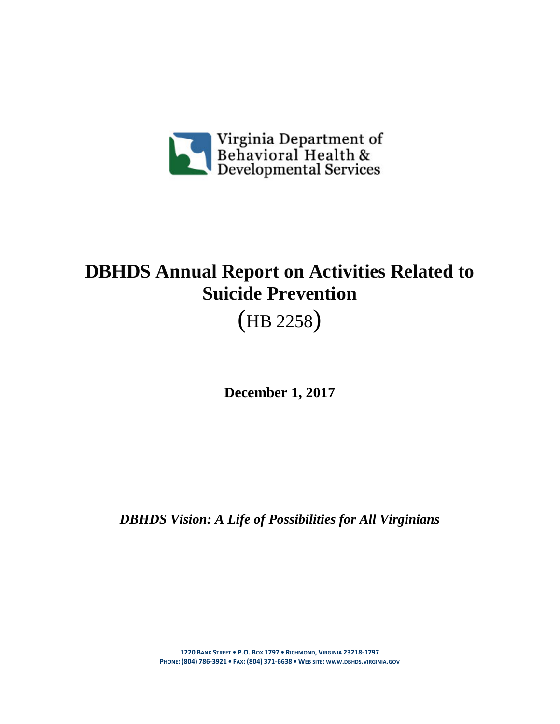

## **DBHDS Annual Report on Activities Related to Suicide Prevention**

(HB 2258)

**December 1, 2017**

*DBHDS Vision: A Life of Possibilities for All Virginians*

**1220 BANK STREET • P.O. BOX 1797 • RICHMOND, VIRGINIA 23218-1797 PHONE: (804) 786-3921 • FAX: (804) 371-6638 • WEB SITE: [WWW.DBHDS.VIRGINIA.GOV](http://www.dbhds.virginia.gov/)**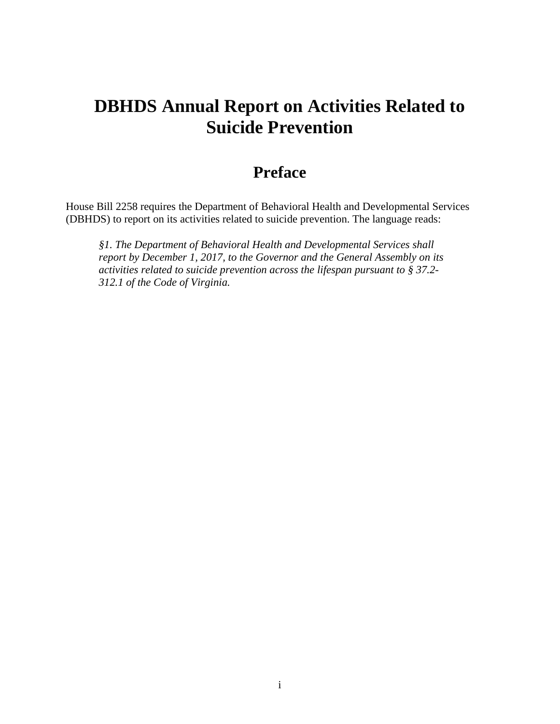## **DBHDS Annual Report on Activities Related to Suicide Prevention**

## **Preface**

House Bill 2258 requires the Department of Behavioral Health and Developmental Services (DBHDS) to report on its activities related to suicide prevention. The language reads:

*§1. The Department of Behavioral Health and Developmental Services shall report by December 1, 2017, to the Governor and the General Assembly on its activities related to suicide prevention across the lifespan pursuant to § 37.2- 312.1 of the Code of Virginia.*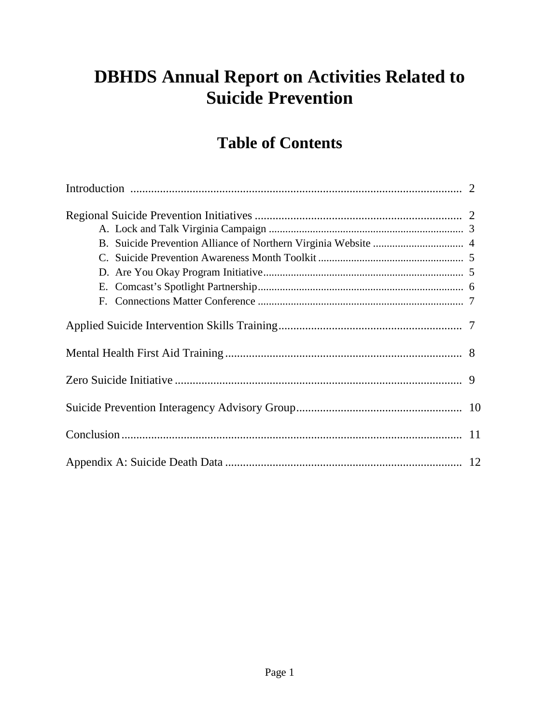## **DBHDS Annual Report on Activities Related to Suicide Prevention**

## **Table of Contents**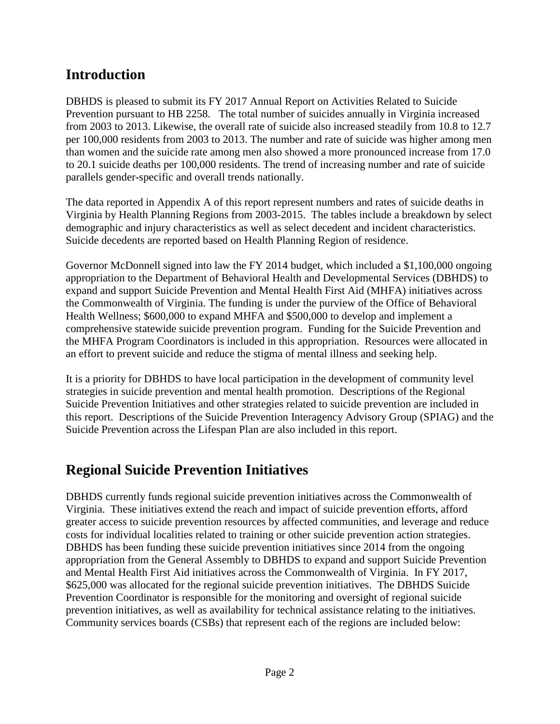## **Introduction**

DBHDS is pleased to submit its FY 2017 Annual Report on Activities Related to Suicide Prevention pursuant to HB 2258. The total number of suicides annually in Virginia increased from 2003 to 2013. Likewise, the overall rate of suicide also increased steadily from 10.8 to 12.7 per 100,000 residents from 2003 to 2013. The number and rate of suicide was higher among men than women and the suicide rate among men also showed a more pronounced increase from 17.0 to 20.1 suicide deaths per 100,000 residents. The trend of increasing number and rate of suicide parallels gender-specific and overall trends nationally.

The data reported in Appendix A of this report represent numbers and rates of suicide deaths in Virginia by Health Planning Regions from 2003-2015. The tables include a breakdown by select demographic and injury characteristics as well as select decedent and incident characteristics. Suicide decedents are reported based on Health Planning Region of residence.

Governor McDonnell signed into law the FY 2014 budget, which included a \$1,100,000 ongoing appropriation to the Department of Behavioral Health and Developmental Services (DBHDS) to expand and support Suicide Prevention and Mental Health First Aid (MHFA) initiatives across the Commonwealth of Virginia. The funding is under the purview of the Office of Behavioral Health Wellness; \$600,000 to expand MHFA and \$500,000 to develop and implement a comprehensive statewide suicide prevention program. Funding for the Suicide Prevention and the MHFA Program Coordinators is included in this appropriation. Resources were allocated in an effort to prevent suicide and reduce the stigma of mental illness and seeking help.

It is a priority for DBHDS to have local participation in the development of community level strategies in suicide prevention and mental health promotion. Descriptions of the Regional Suicide Prevention Initiatives and other strategies related to suicide prevention are included in this report. Descriptions of the Suicide Prevention Interagency Advisory Group (SPIAG) and the Suicide Prevention across the Lifespan Plan are also included in this report.

## **Regional Suicide Prevention Initiatives**

DBHDS currently funds regional suicide prevention initiatives across the Commonwealth of Virginia. These initiatives extend the reach and impact of suicide prevention efforts, afford greater access to suicide prevention resources by affected communities, and leverage and reduce costs for individual localities related to training or other suicide prevention action strategies. DBHDS has been funding these suicide prevention initiatives since 2014 from the ongoing appropriation from the General Assembly to DBHDS to expand and support Suicide Prevention and Mental Health First Aid initiatives across the Commonwealth of Virginia. In FY 2017, \$625,000 was allocated for the regional suicide prevention initiatives. The DBHDS Suicide Prevention Coordinator is responsible for the monitoring and oversight of regional suicide prevention initiatives, as well as availability for technical assistance relating to the initiatives. Community services boards (CSBs) that represent each of the regions are included below: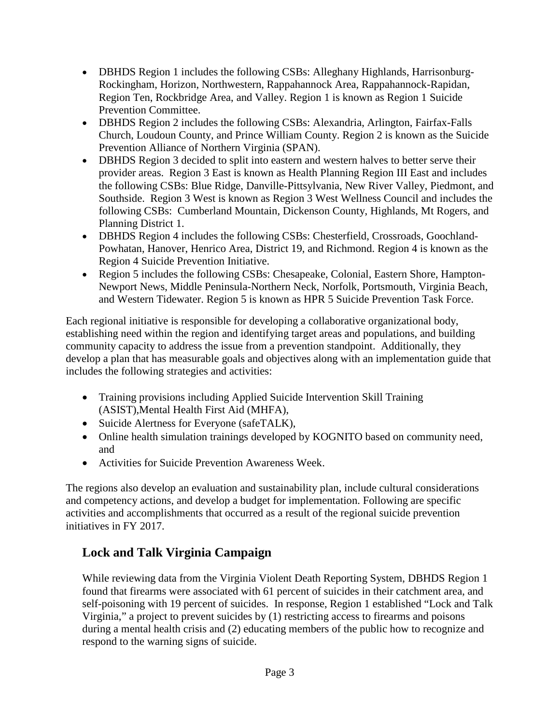- DBHDS Region 1 includes the following CSBs: Alleghany Highlands, Harrisonburg-Rockingham, Horizon, Northwestern, Rappahannock Area, Rappahannock-Rapidan, Region Ten, Rockbridge Area, and Valley. Region 1 is known as Region 1 Suicide Prevention Committee.
- DBHDS Region 2 includes the following CSBs: Alexandria, Arlington, Fairfax-Falls Church, Loudoun County, and Prince William County. Region 2 is known as the Suicide Prevention Alliance of Northern Virginia (SPAN).
- DBHDS Region 3 decided to split into eastern and western halves to better serve their provider areas. Region 3 East is known as Health Planning Region III East and includes the following CSBs: Blue Ridge, Danville-Pittsylvania, New River Valley, Piedmont, and Southside. Region 3 West is known as Region 3 West Wellness Council and includes the following CSBs: Cumberland Mountain, Dickenson County, Highlands, Mt Rogers, and Planning District 1.
- DBHDS Region 4 includes the following CSBs: Chesterfield, Crossroads, Goochland-Powhatan, Hanover, Henrico Area, District 19, and Richmond. Region 4 is known as the Region 4 Suicide Prevention Initiative.
- Region 5 includes the following CSBs: Chesapeake, Colonial, Eastern Shore, Hampton-Newport News, Middle Peninsula-Northern Neck, Norfolk, Portsmouth, Virginia Beach, and Western Tidewater. Region 5 is known as HPR 5 Suicide Prevention Task Force.

Each regional initiative is responsible for developing a collaborative organizational body, establishing need within the region and identifying target areas and populations, and building community capacity to address the issue from a prevention standpoint. Additionally, they develop a plan that has measurable goals and objectives along with an implementation guide that includes the following strategies and activities:

- Training provisions including Applied Suicide Intervention Skill Training (ASIST),Mental Health First Aid (MHFA),
- Suicide Alertness for Everyone (safeTALK),
- Online health simulation trainings developed by KOGNITO based on community need, and
- Activities for Suicide Prevention Awareness Week.

The regions also develop an evaluation and sustainability plan, include cultural considerations and competency actions, and develop a budget for implementation. Following are specific activities and accomplishments that occurred as a result of the regional suicide prevention initiatives in FY 2017.

#### **Lock and Talk Virginia Campaign**

While reviewing data from the Virginia Violent Death Reporting System, DBHDS Region 1 found that firearms were associated with 61 percent of suicides in their catchment area, and self-poisoning with 19 percent of suicides. In response, Region 1 established "Lock and Talk Virginia," a project to prevent suicides by (1) restricting access to firearms and poisons during a mental health crisis and (2) educating members of the public how to recognize and respond to the warning signs of suicide.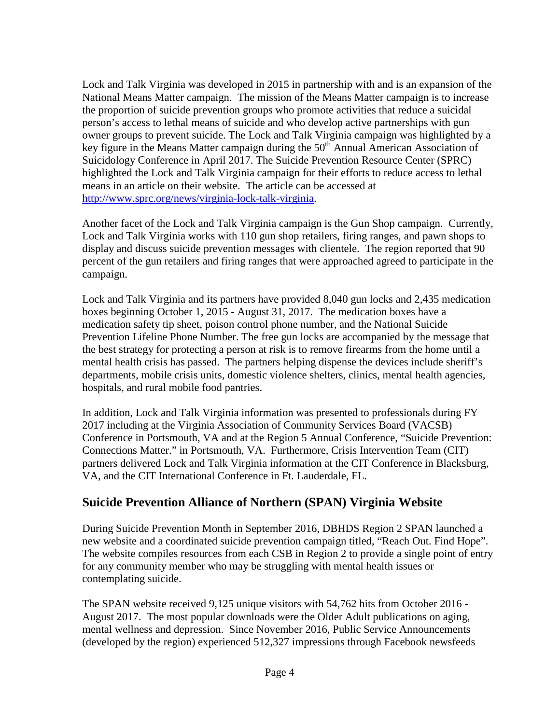Lock and Talk Virginia was developed in 2015 in partnership with and is an expansion of the National Means Matter campaign. The mission of the Means Matter campaign is to increase the proportion of suicide prevention groups who promote activities that reduce a suicidal person's access to lethal means of suicide and who develop active partnerships with gun owner groups to prevent suicide. The Lock and Talk Virginia campaign was highlighted by a key figure in the Means Matter campaign during the  $50<sup>th</sup>$  Annual American Association of Suicidology Conference in April 2017. The Suicide Prevention Resource Center (SPRC) highlighted the Lock and Talk Virginia campaign for their efforts to reduce access to lethal means in an article on their website. The article can be accessed at [http://www.sprc.org/news/virginia-lock-talk-virginia.](http://www.sprc.org/news/virginia-lock-talk-virginia)

Another facet of the Lock and Talk Virginia campaign is the Gun Shop campaign. Currently, Lock and Talk Virginia works with 110 gun shop retailers, firing ranges, and pawn shops to display and discuss suicide prevention messages with clientele. The region reported that 90 percent of the gun retailers and firing ranges that were approached agreed to participate in the campaign.

Lock and Talk Virginia and its partners have provided 8,040 gun locks and 2,435 medication boxes beginning October 1, 2015 - August 31, 2017. The medication boxes have a medication safety tip sheet, poison control phone number, and the National Suicide Prevention Lifeline Phone Number. The free gun locks are accompanied by the message that the best strategy for protecting a person at risk is to remove firearms from the home until a mental health crisis has passed. The partners helping dispense the devices include sheriff's departments, mobile crisis units, domestic violence shelters, clinics, mental health agencies, hospitals, and rural mobile food pantries.

In addition, Lock and Talk Virginia information was presented to professionals during FY 2017 including at the Virginia Association of Community Services Board (VACSB) Conference in Portsmouth, VA and at the Region 5 Annual Conference, "Suicide Prevention: Connections Matter." in Portsmouth, VA. Furthermore, Crisis Intervention Team (CIT) partners delivered Lock and Talk Virginia information at the CIT Conference in Blacksburg, VA, and the CIT International Conference in Ft. Lauderdale, FL.

#### **Suicide Prevention Alliance of Northern (SPAN) Virginia Website**

During Suicide Prevention Month in September 2016, DBHDS Region 2 SPAN launched a new website and a coordinated suicide prevention campaign titled, "Reach Out. Find Hope". The website compiles resources from each CSB in Region 2 to provide a single point of entry for any community member who may be struggling with mental health issues or contemplating suicide.

The SPAN website received 9,125 unique visitors with 54,762 hits from October 2016 - August 2017. The most popular downloads were the Older Adult publications on aging, mental wellness and depression. Since November 2016, Public Service Announcements (developed by the region) experienced 512,327 impressions through Facebook newsfeeds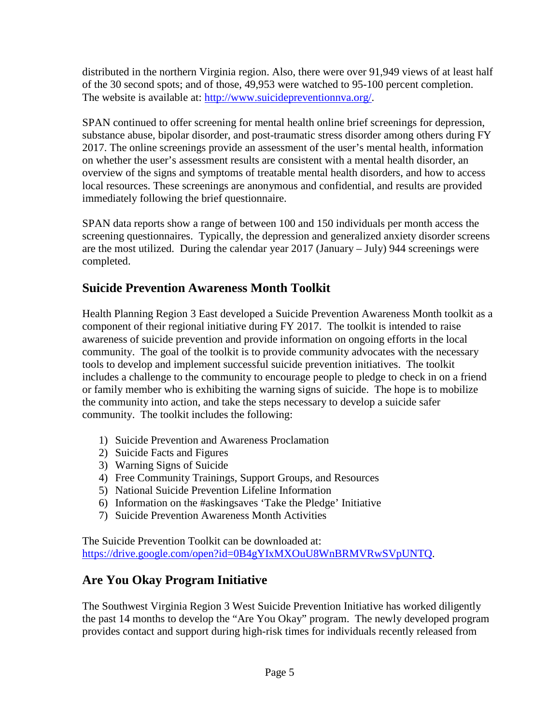distributed in the northern Virginia region. Also, there were over 91,949 views of at least half of the 30 second spots; and of those, 49,953 were watched to 95-100 percent completion. The website is available at: [http://www.suicidepreventionnva.org/.](http://www.suicidepreventionnva.org/)

SPAN continued to offer screening for mental health online brief screenings for depression, substance abuse, bipolar disorder, and post-traumatic stress disorder among others during FY 2017. The online screenings provide an assessment of the user's mental health, information on whether the user's assessment results are consistent with a mental health disorder, an overview of the signs and symptoms of treatable mental health disorders, and how to access local resources. These screenings are anonymous and confidential, and results are provided immediately following the brief questionnaire.

SPAN data reports show a range of between 100 and 150 individuals per month access the screening questionnaires. Typically, the depression and generalized anxiety disorder screens are the most utilized. During the calendar year 2017 (January – July) 944 screenings were completed.

#### **Suicide Prevention Awareness Month Toolkit**

Health Planning Region 3 East developed a Suicide Prevention Awareness Month toolkit as a component of their regional initiative during FY 2017. The toolkit is intended to raise awareness of suicide prevention and provide information on ongoing efforts in the local community. The goal of the toolkit is to provide community advocates with the necessary tools to develop and implement successful suicide prevention initiatives. The toolkit includes a challenge to the community to encourage people to pledge to check in on a friend or family member who is exhibiting the warning signs of suicide. The hope is to mobilize the community into action, and take the steps necessary to develop a suicide safer community. The toolkit includes the following:

- 1) Suicide Prevention and Awareness Proclamation
- 2) Suicide Facts and Figures
- 3) Warning Signs of Suicide
- 4) Free Community Trainings, Support Groups, and Resources
- 5) National Suicide Prevention Lifeline Information
- 6) Information on the #askingsaves 'Take the Pledge' Initiative
- 7) Suicide Prevention Awareness Month Activities

The Suicide Prevention Toolkit can be downloaded at: [https://drive.google.com/open?id=0B4gYIxMXOuU8WnBRMVRwSVpUNTQ.](https://drive.google.com/open?id=0B4gYIxMXOuU8WnBRMVRwSVpUNTQ)

#### **Are You Okay Program Initiative**

The Southwest Virginia Region 3 West Suicide Prevention Initiative has worked diligently the past 14 months to develop the "Are You Okay" program. The newly developed program provides contact and support during high-risk times for individuals recently released from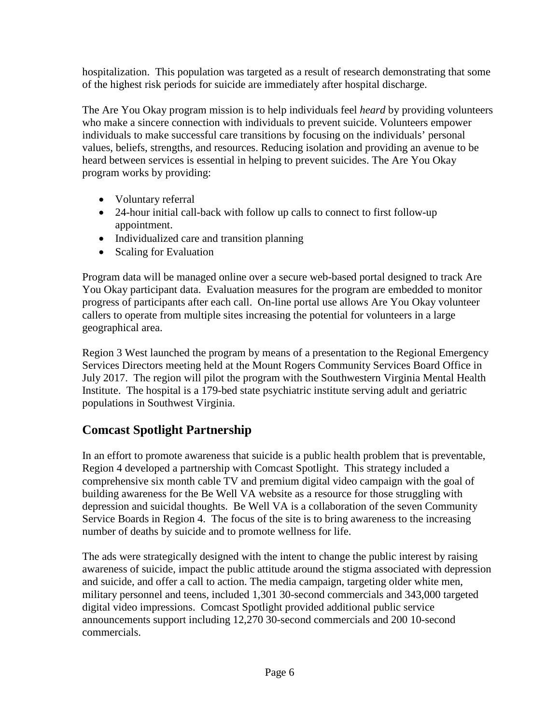hospitalization. This population was targeted as a result of research demonstrating that some of the highest risk periods for suicide are immediately after hospital discharge.

The Are You Okay program mission is to help individuals feel *heard* by providing volunteers who make a sincere connection with individuals to prevent suicide. Volunteers empower individuals to make successful care transitions by focusing on the individuals' personal values, beliefs, strengths, and resources. Reducing isolation and providing an avenue to be heard between services is essential in helping to prevent suicides. The Are You Okay program works by providing:

- Voluntary referral
- 24-hour initial call-back with follow up calls to connect to first follow-up appointment.
- Individualized care and transition planning
- Scaling for Evaluation

Program data will be managed online over a secure web-based portal designed to track Are You Okay participant data. Evaluation measures for the program are embedded to monitor progress of participants after each call. On-line portal use allows Are You Okay volunteer callers to operate from multiple sites increasing the potential for volunteers in a large geographical area.

Region 3 West launched the program by means of a presentation to the Regional Emergency Services Directors meeting held at the Mount Rogers Community Services Board Office in July 2017. The region will pilot the program with the Southwestern Virginia Mental Health Institute. The hospital is a 179-bed state psychiatric institute serving adult and geriatric populations in Southwest Virginia.

#### **Comcast Spotlight Partnership**

In an effort to promote awareness that suicide is a public health problem that is preventable, Region 4 developed a partnership with Comcast Spotlight. This strategy included a comprehensive six month cable TV and premium digital video campaign with the goal of building awareness for the Be Well VA website as a resource for those struggling with depression and suicidal thoughts. Be Well VA is a collaboration of the seven Community Service Boards in Region 4. The focus of the site is to bring awareness to the increasing number of deaths by suicide and to promote wellness for life.

The ads were strategically designed with the intent to change the public interest by raising awareness of suicide, impact the public attitude around the stigma associated with depression and suicide, and offer a call to action. The media campaign, targeting older white men, military personnel and teens, included 1,301 30-second commercials and 343,000 targeted digital video impressions. Comcast Spotlight provided additional public service announcements support including 12,270 30-second commercials and 200 10-second commercials.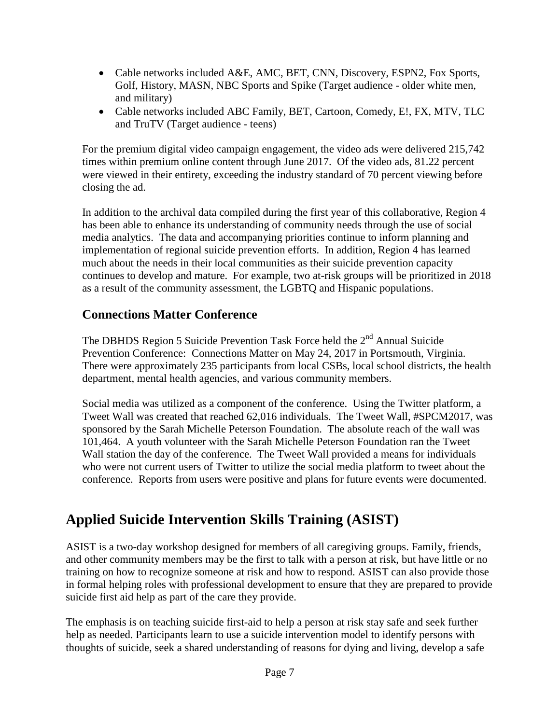- Cable networks included A&E, AMC, BET, CNN, Discovery, ESPN2, Fox Sports, Golf, History, MASN, NBC Sports and Spike (Target audience - older white men, and military)
- Cable networks included ABC Family, BET, Cartoon, Comedy, E!, FX, MTV, TLC and TruTV (Target audience - teens)

For the premium digital video campaign engagement, the video ads were delivered 215,742 times within premium online content through June 2017. Of the video ads, 81.22 percent were viewed in their entirety, exceeding the industry standard of 70 percent viewing before closing the ad.

In addition to the archival data compiled during the first year of this collaborative, Region 4 has been able to enhance its understanding of community needs through the use of social media analytics. The data and accompanying priorities continue to inform planning and implementation of regional suicide prevention efforts. In addition, Region 4 has learned much about the needs in their local communities as their suicide prevention capacity continues to develop and mature. For example, two at-risk groups will be prioritized in 2018 as a result of the community assessment, the LGBTQ and Hispanic populations.

#### **Connections Matter Conference**

The DBHDS Region 5 Suicide Prevention Task Force held the  $2<sup>nd</sup>$  Annual Suicide Prevention Conference: Connections Matter on May 24, 2017 in Portsmouth, Virginia. There were approximately 235 participants from local CSBs, local school districts, the health department, mental health agencies, and various community members.

Social media was utilized as a component of the conference. Using the Twitter platform, a Tweet Wall was created that reached 62,016 individuals. The Tweet Wall, #SPCM2017, was sponsored by the Sarah Michelle Peterson Foundation. The absolute reach of the wall was 101,464. A youth volunteer with the Sarah Michelle Peterson Foundation ran the Tweet Wall station the day of the conference. The Tweet Wall provided a means for individuals who were not current users of Twitter to utilize the social media platform to tweet about the conference. Reports from users were positive and plans for future events were documented.

## **Applied Suicide Intervention Skills Training (ASIST)**

ASIST is a two-day workshop designed for members of all caregiving groups. Family, friends, and other community members may be the first to talk with a person at risk, but have little or no training on how to recognize someone at risk and how to respond. ASIST can also provide those in formal helping roles with professional development to ensure that they are prepared to provide suicide first aid help as part of the care they provide.

The emphasis is on teaching suicide first-aid to help a person at risk stay safe and seek further help as needed. Participants learn to use a suicide intervention model to identify persons with thoughts of suicide, seek a shared understanding of reasons for dying and living, develop a safe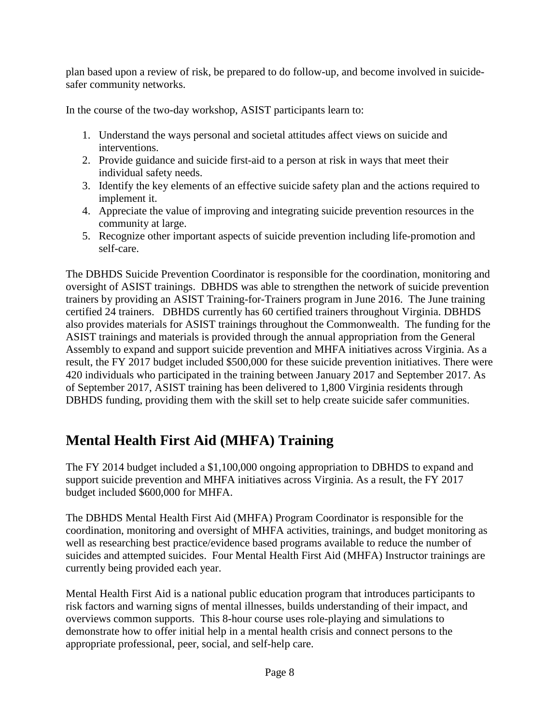plan based upon a review of risk, be prepared to do follow-up, and become involved in suicidesafer community networks.

In the course of the two-day workshop, ASIST participants learn to:

- 1. Understand the ways personal and societal attitudes affect views on suicide and interventions.
- 2. Provide guidance and suicide first-aid to a person at risk in ways that meet their individual safety needs.
- 3. Identify the key elements of an effective suicide safety plan and the actions required to implement it.
- 4. Appreciate the value of improving and integrating suicide prevention resources in the community at large.
- 5. Recognize other important aspects of suicide prevention including life-promotion and self-care.

The DBHDS Suicide Prevention Coordinator is responsible for the coordination, monitoring and oversight of ASIST trainings. DBHDS was able to strengthen the network of suicide prevention trainers by providing an ASIST Training-for-Trainers program in June 2016. The June training certified 24 trainers. DBHDS currently has 60 certified trainers throughout Virginia. DBHDS also provides materials for ASIST trainings throughout the Commonwealth. The funding for the ASIST trainings and materials is provided through the annual appropriation from the General Assembly to expand and support suicide prevention and MHFA initiatives across Virginia. As a result, the FY 2017 budget included \$500,000 for these suicide prevention initiatives. There were 420 individuals who participated in the training between January 2017 and September 2017. As of September 2017, ASIST training has been delivered to 1,800 Virginia residents through DBHDS funding, providing them with the skill set to help create suicide safer communities.

## **Mental Health First Aid (MHFA) Training**

The FY 2014 budget included a \$1,100,000 ongoing appropriation to DBHDS to expand and support suicide prevention and MHFA initiatives across Virginia. As a result, the FY 2017 budget included \$600,000 for MHFA.

The DBHDS Mental Health First Aid (MHFA) Program Coordinator is responsible for the coordination, monitoring and oversight of MHFA activities, trainings, and budget monitoring as well as researching best practice/evidence based programs available to reduce the number of suicides and attempted suicides. Four Mental Health First Aid (MHFA) Instructor trainings are currently being provided each year.

Mental Health First Aid is a national public education program that introduces participants to risk factors and warning signs of mental illnesses, builds understanding of their impact, and overviews common supports. This 8-hour course uses role-playing and simulations to demonstrate how to offer initial help in a mental health crisis and connect persons to the appropriate professional, peer, social, and self-help care.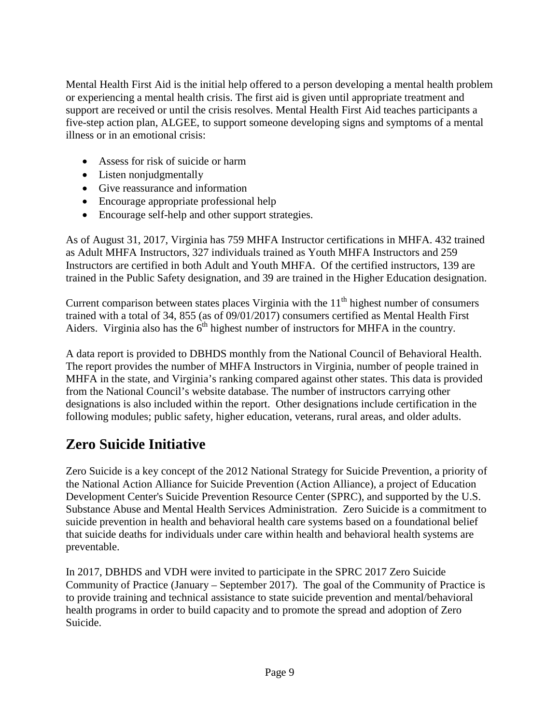Mental Health First Aid is the initial help offered to a person developing a mental health problem or experiencing a mental health crisis. The first aid is given until appropriate treatment and support are received or until the crisis resolves. Mental Health First Aid teaches participants a five-step action plan, ALGEE, to support someone developing signs and symptoms of a mental illness or in an emotional crisis:

- Assess for risk of suicide or harm
- Listen nonjudgmentally
- Give reassurance and information
- Encourage appropriate professional help
- Encourage self-help and other support strategies.

As of August 31, 2017, Virginia has 759 MHFA Instructor certifications in MHFA. 432 trained as Adult MHFA Instructors, 327 individuals trained as Youth MHFA Instructors and 259 Instructors are certified in both Adult and Youth MHFA. Of the certified instructors, 139 are trained in the Public Safety designation, and 39 are trained in the Higher Education designation.

Current comparison between states places Virginia with the  $11<sup>th</sup>$  highest number of consumers trained with a total of 34, 855 (as of 09/01/2017) consumers certified as Mental Health First Aiders. Virginia also has the  $6<sup>th</sup>$  highest number of instructors for MHFA in the country.

A data report is provided to DBHDS monthly from the National Council of Behavioral Health. The report provides the number of MHFA Instructors in Virginia, number of people trained in MHFA in the state, and Virginia's ranking compared against other states. This data is provided from the National Council's website database. The number of instructors carrying other designations is also included within the report. Other designations include certification in the following modules; public safety, higher education, veterans, rural areas, and older adults.

## **Zero Suicide Initiative**

Zero Suicide is a key concept of the 2012 National Strategy for Suicide Prevention, a priority of the National Action Alliance for Suicide Prevention (Action Alliance), a project of Education Development Center's Suicide Prevention Resource Center (SPRC), and supported by the U.S. Substance Abuse and Mental Health Services Administration. Zero Suicide is a commitment to suicide prevention in health and behavioral health care systems based on a foundational belief that suicide deaths for individuals under care within health and behavioral health systems are preventable.

In 2017, DBHDS and VDH were invited to participate in the SPRC 2017 Zero Suicide Community of Practice (January – September 2017). The goal of the Community of Practice is to provide training and technical assistance to state suicide prevention and mental/behavioral health programs in order to build capacity and to promote the spread and adoption of Zero Suicide.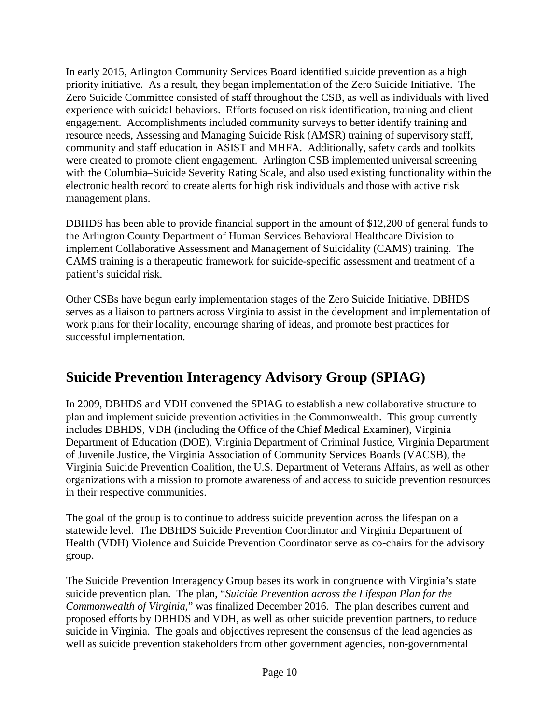In early 2015, Arlington Community Services Board identified suicide prevention as a high priority initiative. As a result, they began implementation of the Zero Suicide Initiative. The Zero Suicide Committee consisted of staff throughout the CSB, as well as individuals with lived experience with suicidal behaviors. Efforts focused on risk identification, training and client engagement. Accomplishments included community surveys to better identify training and resource needs, Assessing and Managing Suicide Risk (AMSR) training of supervisory staff, community and staff education in ASIST and MHFA. Additionally, safety cards and toolkits were created to promote client engagement. Arlington CSB implemented universal screening with the Columbia–Suicide Severity Rating Scale, and also used existing functionality within the electronic health record to create alerts for high risk individuals and those with active risk management plans.

DBHDS has been able to provide financial support in the amount of \$12,200 of general funds to the Arlington County Department of Human Services Behavioral Healthcare Division to implement Collaborative Assessment and Management of Suicidality (CAMS) training. The CAMS training is a therapeutic framework for suicide-specific assessment and treatment of a patient's suicidal risk.

Other CSBs have begun early implementation stages of the Zero Suicide Initiative. DBHDS serves as a liaison to partners across Virginia to assist in the development and implementation of work plans for their locality, encourage sharing of ideas, and promote best practices for successful implementation.

### **Suicide Prevention Interagency Advisory Group (SPIAG)**

In 2009, DBHDS and VDH convened the SPIAG to establish a new collaborative structure to plan and implement suicide prevention activities in the Commonwealth. This group currently includes DBHDS, VDH (including the Office of the Chief Medical Examiner), Virginia Department of Education (DOE), Virginia Department of Criminal Justice, Virginia Department of Juvenile Justice, the Virginia Association of Community Services Boards (VACSB), the Virginia Suicide Prevention Coalition, the U.S. Department of Veterans Affairs, as well as other organizations with a mission to promote awareness of and access to suicide prevention resources in their respective communities.

The goal of the group is to continue to address suicide prevention across the lifespan on a statewide level. The DBHDS Suicide Prevention Coordinator and Virginia Department of Health (VDH) Violence and Suicide Prevention Coordinator serve as co-chairs for the advisory group.

The Suicide Prevention Interagency Group bases its work in congruence with Virginia's state suicide prevention plan. The plan, "*Suicide Prevention across the Lifespan Plan for the Commonwealth of Virginia,*" was finalized December 2016. The plan describes current and proposed efforts by DBHDS and VDH, as well as other suicide prevention partners, to reduce suicide in Virginia. The goals and objectives represent the consensus of the lead agencies as well as suicide prevention stakeholders from other government agencies, non-governmental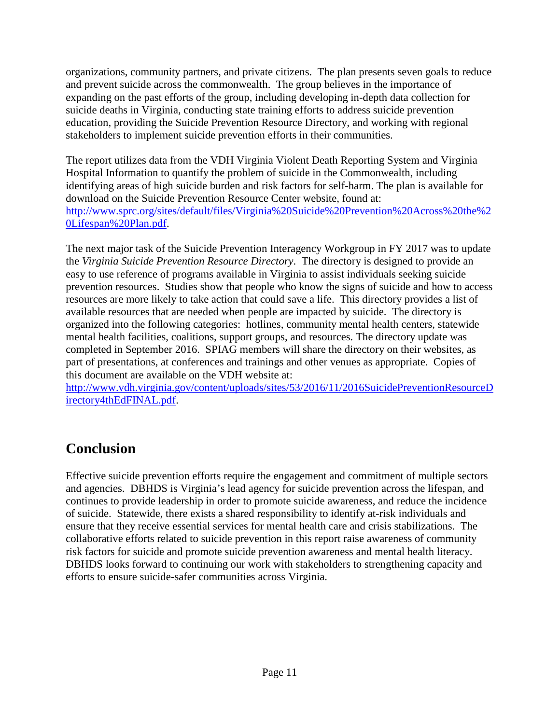organizations, community partners, and private citizens. The plan presents seven goals to reduce and prevent suicide across the commonwealth. The group believes in the importance of expanding on the past efforts of the group, including developing in-depth data collection for suicide deaths in Virginia, conducting state training efforts to address suicide prevention education, providing the Suicide Prevention Resource Directory, and working with regional stakeholders to implement suicide prevention efforts in their communities.

The report utilizes data from the VDH Virginia Violent Death Reporting System and Virginia Hospital Information to quantify the problem of suicide in the Commonwealth, including identifying areas of high suicide burden and risk factors for self-harm. The plan is available for download on the Suicide Prevention Resource Center website, found at: [http://www.sprc.org/sites/default/files/Virginia%20Suicide%20Prevention%20Across%20the%2](http://www.sprc.org/sites/default/files/Virginia%20Suicide%20Prevention%20Across%20the%20Lifespan%20Plan.pdf) [0Lifespan%20Plan.pdf.](http://www.sprc.org/sites/default/files/Virginia%20Suicide%20Prevention%20Across%20the%20Lifespan%20Plan.pdf)

The next major task of the Suicide Prevention Interagency Workgroup in FY 2017 was to update the *Virginia Suicide Prevention Resource Directory*. The directory is designed to provide an easy to use reference of programs available in Virginia to assist individuals seeking suicide prevention resources. Studies show that people who know the signs of suicide and how to access resources are more likely to take action that could save a life. This directory provides a list of available resources that are needed when people are impacted by suicide. The directory is organized into the following categories: hotlines, community mental health centers, statewide mental health facilities, coalitions, support groups, and resources. The directory update was completed in September 2016. SPIAG members will share the directory on their websites, as part of presentations, at conferences and trainings and other venues as appropriate. Copies of this document are available on the VDH website at:

[http://www.vdh.virginia.gov/content/uploads/sites/53/2016/11/2016SuicidePreventionResourceD](http://www.vdh.virginia.gov/content/uploads/sites/53/2016/11/2016SuicidePreventionResourceDirectory4thEdFINAL.pdf) [irectory4thEdFINAL.pdf.](http://www.vdh.virginia.gov/content/uploads/sites/53/2016/11/2016SuicidePreventionResourceDirectory4thEdFINAL.pdf)

### **Conclusion**

Effective suicide prevention efforts require the engagement and commitment of multiple sectors and agencies. DBHDS is Virginia's lead agency for suicide prevention across the lifespan, and continues to provide leadership in order to promote suicide awareness, and reduce the incidence of suicide. Statewide, there exists a shared responsibility to identify at-risk individuals and ensure that they receive essential services for mental health care and crisis stabilizations. The collaborative efforts related to suicide prevention in this report raise awareness of community risk factors for suicide and promote suicide prevention awareness and mental health literacy. DBHDS looks forward to continuing our work with stakeholders to strengthening capacity and efforts to ensure suicide-safer communities across Virginia.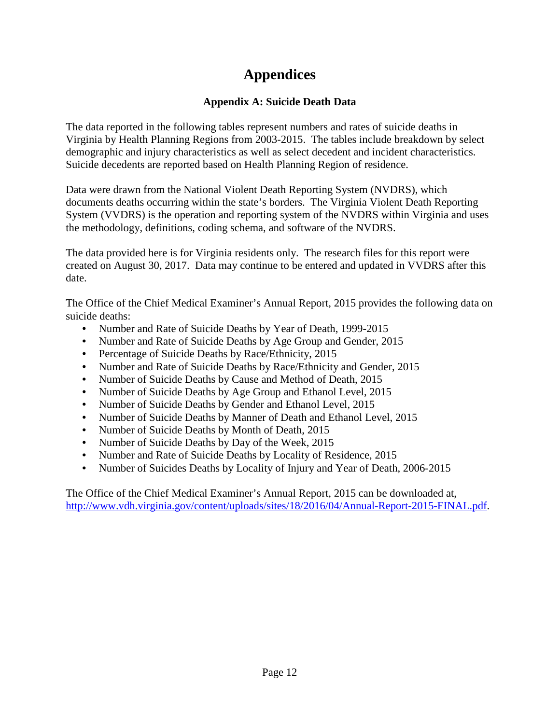## **Appendices**

#### **Appendix A: Suicide Death Data**

The data reported in the following tables represent numbers and rates of suicide deaths in Virginia by Health Planning Regions from 2003-2015. The tables include breakdown by select demographic and injury characteristics as well as select decedent and incident characteristics. Suicide decedents are reported based on Health Planning Region of residence.

Data were drawn from the National Violent Death Reporting System (NVDRS), which documents deaths occurring within the state's borders. The Virginia Violent Death Reporting System (VVDRS) is the operation and reporting system of the NVDRS within Virginia and uses the methodology, definitions, coding schema, and software of the NVDRS.

The data provided here is for Virginia residents only. The research files for this report were created on August 30, 2017. Data may continue to be entered and updated in VVDRS after this date.

The Office of the Chief Medical Examiner's Annual Report, 2015 provides the following data on suicide deaths:

- Number and Rate of Suicide Deaths by Year of Death, 1999-2015
- Number and Rate of Suicide Deaths by Age Group and Gender, 2015
- Percentage of Suicide Deaths by Race/Ethnicity, 2015
- Number and Rate of Suicide Deaths by Race/Ethnicity and Gender, 2015
- Number of Suicide Deaths by Cause and Method of Death, 2015
- Number of Suicide Deaths by Age Group and Ethanol Level, 2015
- Number of Suicide Deaths by Gender and Ethanol Level, 2015
- Number of Suicide Deaths by Manner of Death and Ethanol Level, 2015
- Number of Suicide Deaths by Month of Death, 2015
- Number of Suicide Deaths by Day of the Week, 2015
- Number and Rate of Suicide Deaths by Locality of Residence, 2015
- Number of Suicides Deaths by Locality of Injury and Year of Death, 2006-2015

The Office of the Chief Medical Examiner's Annual Report, 2015 can be downloaded at, [http://www.vdh.virginia.gov/content/uploads/sites/18/2016/04/Annual-Report-2015-FINAL.pdf.](http://www.vdh.virginia.gov/content/uploads/sites/18/2016/04/Annual-Report-2015-FINAL.pdf)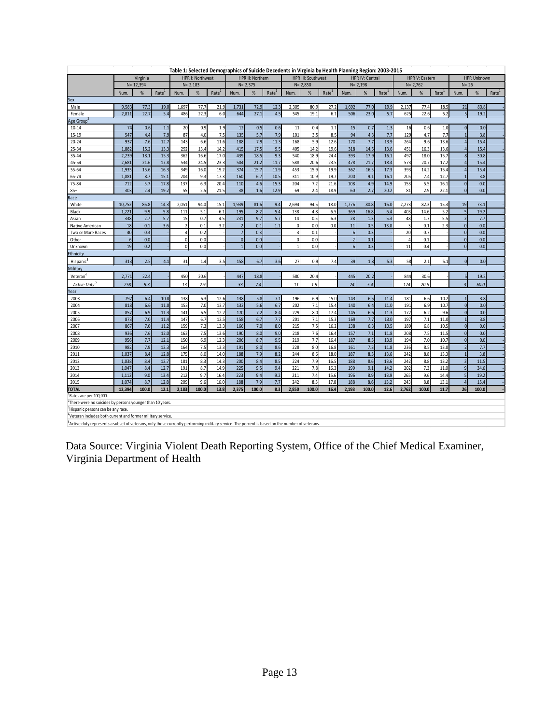| Table 1: Selected Demographics of Suicide Decedents in Virginia by Health Planning Region: 2003-2015                                                        |                              |              |                   |                |                                                                         |                   |                |            |                   |                |                        |                   |                  |             |                   |                         |                    |                   |                          |             |                   |
|-------------------------------------------------------------------------------------------------------------------------------------------------------------|------------------------------|--------------|-------------------|----------------|-------------------------------------------------------------------------|-------------------|----------------|------------|-------------------|----------------|------------------------|-------------------|------------------|-------------|-------------------|-------------------------|--------------------|-------------------|--------------------------|-------------|-------------------|
|                                                                                                                                                             | Virginia<br>HPR I: Northwest |              |                   |                | HPR II: Northern<br><b>HPR III: Southwest</b>                           |                   |                |            |                   |                | <b>HPR IV: Central</b> |                   |                  |             | HPR V: Eastern    |                         | <b>HPR Unknown</b> |                   |                          |             |                   |
|                                                                                                                                                             |                              | $N = 12,394$ |                   |                | $N = 2.183$<br>$N = 2.375$<br>$N = 2.850$<br>$N = 2.198$<br>$N = 2.762$ |                   |                |            |                   | $N = 26$       |                        |                   |                  |             |                   |                         |                    |                   |                          |             |                   |
|                                                                                                                                                             | Num.                         | %            | Rate <sup>1</sup> | Num.           | %                                                                       | Rate <sup>1</sup> | Num.           | %          | Rate <sup>1</sup> | Num.           | %                      | Rate <sup>1</sup> | Num.             | $\%$        | Rate <sup>1</sup> | Num.                    | %                  | Rate <sup>1</sup> | Num.                     | %           | Rate <sup>1</sup> |
| Sex                                                                                                                                                         |                              |              |                   |                |                                                                         |                   |                |            |                   |                |                        |                   |                  |             |                   |                         |                    |                   |                          |             |                   |
| Male                                                                                                                                                        | 9,583                        | 77.3         | 19.0              | 1,697          | 77.7                                                                    | 21.9              | 1,731          | 72.9       | 12.3              | 2,305          | 80.9                   | 27.2              | 1,692            | 77.0        | 19.9              | 2,137                   | 77.4               | 18.5              | 21                       | 80.8        |                   |
| Female                                                                                                                                                      | 2,811                        | 22.7         | 5.4               | 486            | 22.3                                                                    | 6.0               | 644            | 27.1       | 4.5               | 545            | 19.1                   | 6.1               | 506              | 23.0        | 5.7               | 625                     | 22.6               | 5.2               | 5                        | 19.2        |                   |
| Age Group <sup>2</sup>                                                                                                                                      |                              |              |                   |                |                                                                         |                   |                |            |                   |                |                        |                   |                  |             |                   |                         |                    |                   |                          |             |                   |
| $10 - 14$                                                                                                                                                   | 74                           | 0.6          | 1.1               | 20             | 0.9                                                                     | 1.9               | 12             | 0.5        | 0.6               | 11             | 0.4                    | 1.1               | 15               | 0.7         | 1.3               | 16                      | 0.6                | 1.0               | $\mathbf{0}$             | 0.0         |                   |
| $15 - 19$                                                                                                                                                   | 547                          | 4.4          | 7.9               | 87             | 4.0                                                                     | 7.5               | 135            | 5.7        | 7.9               | 101            | 3.5                    | 8.5               | 94               | 4.3         | 7.7               | 129                     | 4.7                | 7.7               | $\overline{1}$           | 3.8         |                   |
| $20 - 24$                                                                                                                                                   | 937                          | 7.6          | 12.7              | 143            | 6.6                                                                     | 11.6              | 188            | 7.9        | 11.3              | 168            | 5.9                    | 12.6              | 170              | 7.7         | 13.9              | 264                     | 9.6                | 13.6              |                          | 15.4        |                   |
| 25-34                                                                                                                                                       | 1,882                        | 15.2         | 13.3              | 292            | 13.4                                                                    | 14.2              | 415            | 17.5       | 9.5               | 405            | 14.2                   | 19.6              | 318              | 14.5        | 13.6              | 451                     | 16.3               | 13.6              | $\overline{a}$           | 15.4        |                   |
| 35-44                                                                                                                                                       | 2,239                        | 18.1         | 15.3              | 362            | 16.6                                                                    | 17.0              | 439            | 18.5       | 9.3               | 540            | 18.9                   | 24.4              | 393              | 17.9        | 16.1              | 497                     | 18.0               | 15.7              | 8                        | 30.8        |                   |
| 45-54                                                                                                                                                       | 2,681                        | 21.6         | 17.8              | 534            | 24.5                                                                    | 23.3              | 504            | 21.2       | 11.7              | 588            | 20.6                   | 23.5              | 478              | 21.7        | 18.4              | 573                     | 20.7               | 17.2              | $\overline{a}$           | 15.4        |                   |
| $55 - 64$                                                                                                                                                   | 1,935                        | 15.6         | 16.3              | 349            | 16.0                                                                    | 19.2              | 374            | 15.7       | 11.9              | 453            | 15.9                   | 19.9              | 362              | 16.5        | 17.3              | 393                     | 14.2               | 15.4              | $\overline{a}$           | 15.4        |                   |
| 65-74                                                                                                                                                       | 1,081                        | 8.7          | 15.1              | 204            | 9.3                                                                     | 17.3              | 160            | 6.7        | 10.5              | 311            | 10.9                   | 19.7              | 200              | 9.1         | 16.1              | 205                     | 7.4                | 12.7              |                          | 3.8         |                   |
| 75-84                                                                                                                                                       | 712                          | 5.7          | 17.8              | 137            | 6.3                                                                     | 20.4              | 110            | 4.6        | 15.3              | 204            | 7.2                    | 21.6              | 108              | 4.9         | 14.9              | 153                     | 5.5                | 16.1              | $\mathbf{0}$             | 0.0         |                   |
| $85+$                                                                                                                                                       | 303                          | 2.4          | 19.2              | 55             | 2.5                                                                     | 21.5              | 38             | 1.6        | 12.9              | 69             | 2.4                    | 18.9              | 60               | 2.7         | 20.2              | 81                      | 2.9                | 22.1              | $\mathbf 0$              | 0.0         |                   |
| Race                                                                                                                                                        |                              |              | 14.3              |                |                                                                         |                   |                |            |                   |                |                        |                   |                  |             |                   |                         |                    |                   | 19                       |             |                   |
| White                                                                                                                                                       | 10,752                       | 86.8         | 5.8               | 2,051          | 94.0                                                                    | 15.1              | 1,939          | 81.6       | 9.4               | 2,694          | 94.5                   | 18.0              | 1,776            | 80.8        | 16.0              | 2,273                   | 82.3               | 15.3              | 5                        | 73.1        |                   |
| Black                                                                                                                                                       | 1,221<br>338                 | 9.9<br>2.7   | 5.7               | 111<br>15      | 5.1<br>0.7                                                              | 6.1<br>4.5        | 195<br>231     | 8.2<br>9.7 | 5.4<br>5.7        | 138<br>14      | 4.8<br>0.5             | 6.5<br>6.3        | 369<br>28        | 16.8<br>1.3 | 6.4<br>5.3        | 403<br>48               | 14.6<br>1.7        | 5.2<br>5.5        | $\overline{2}$           | 19.2<br>7.7 |                   |
| Asian<br>Native American                                                                                                                                    | 18                           | 0.1          | 3.6               | $\overline{2}$ | 0.1                                                                     | 3.2               | $\overline{2}$ | 0.1        | 1.1               | $\overline{0}$ | 0.0                    | 0.0               | 11               | 0.5         | 13.0              | $\overline{\mathbf{3}}$ | 0.1                | 2.3               | $\overline{0}$           | 0.0         |                   |
| Two or More Races                                                                                                                                           | 40                           | 0.3          |                   | $\overline{4}$ | 0.2                                                                     |                   | $\overline{7}$ | 0.3        |                   | $\overline{3}$ | 0.1                    |                   | 6                | 0.3         |                   | 20                      | 0.7                |                   | $\overline{0}$           | 0.0         |                   |
| Other                                                                                                                                                       | $6\phantom{a}$               | 0.0          |                   | $\pmb{0}$      | 0.0                                                                     |                   | $\overline{0}$ | 0.0        |                   | $\overline{0}$ | 0.0                    |                   | $\overline{2}$   | 0.1         |                   | $\sqrt{4}$              | 0.1                |                   | $\mathbf 0$              | 0.0         |                   |
| Unknown                                                                                                                                                     | 19                           | 0.2          |                   | $\mathbf{0}$   | 0.0                                                                     |                   | 1              | 0.0        |                   | $\overline{1}$ | 0.0                    |                   | $6 \overline{6}$ | 0.3         |                   | 11                      | 0.4                |                   | $\overline{0}$           | 0.0         |                   |
| Ethnicity                                                                                                                                                   |                              |              |                   |                |                                                                         |                   |                |            |                   |                |                        |                   |                  |             |                   |                         |                    |                   |                          |             |                   |
| <b>Hispanic</b>                                                                                                                                             | 313                          | 2.5          | 4.1               | 31             | 1.4                                                                     | 3.5               | 158            | 6.7        | 3.6               | 27             | 0.9                    | 7.4               | 39               | 1.8         | 5.3               | 58                      | 2.1                | 5.1               | $\mathbf 0$              | 0.0         |                   |
| Military                                                                                                                                                    |                              |              |                   |                |                                                                         |                   |                |            |                   |                |                        |                   |                  |             |                   |                         |                    |                   |                          |             |                   |
| Veteran <sup>4</sup>                                                                                                                                        | 2,771                        | 22.4         |                   | 450            | 20.6                                                                    |                   | 447            | 18.8       |                   | 580            | 20.4                   |                   | 445              | 20.2        |                   | 844                     | 30.6               |                   | $\overline{\phantom{a}}$ | 19.2        |                   |
|                                                                                                                                                             |                              |              |                   |                |                                                                         |                   |                |            |                   |                |                        |                   |                  |             |                   |                         |                    |                   |                          |             |                   |
| Active Duty <sup>5</sup>                                                                                                                                    | 258                          | 9.3          |                   | 13             | 2.9                                                                     |                   | 33             | 7.4        |                   | $11\,$         | 1.9                    |                   | 24               | 5.4         |                   | 174                     | 20.6               |                   | $\overline{3}$           | 60.0        |                   |
| Year<br>2003                                                                                                                                                | 797                          | 6.4          | 10.8              | 138            | 6.3                                                                     | 12.6              | 138            | 5.8        | 7.1               | 196            | 6.9                    | 15.0              | 143              | 6.5         | 11.4              | 181                     | 6.6                | 10.2              | $\overline{1}$           | 3.8         |                   |
| 2004                                                                                                                                                        | 818                          | 6.6          | 11.0              | 153            | 7.0                                                                     | 13.7              | 132            | 5.6        | 6.7               | 202            | 7.1                    | 15.4              | 140              | 6.4         | 11.0              | 191                     | 6.9                | 10.7              | $\overline{0}$           | 0.0         |                   |
| 2005                                                                                                                                                        | 857                          | 6.9          | 11.3              | 141            | 6.5                                                                     | 12.2              | 170            | 7.2        | 8.4               | 229            | 8.0                    | 17.4              | 145              | 6.6         | 11.3              | 172                     | 6.2                | 9.6               | $\overline{0}$           | 0.0         |                   |
| 2006                                                                                                                                                        | 873                          | 7.0          | 11.4              | 147            | 6.7                                                                     | 12.5              | 158            | 6.7        | 7.7               | 201            | 7.1                    | 15.3              | 169              | 7.7         | 13.0              | 197                     | 7.1                | 11.0              |                          | 3.8         |                   |
| 2007                                                                                                                                                        | 867                          | 7.0          | 11.2              | 159            | 7.3                                                                     | 13.3              | 166            | 7.0        | 8.0               | 215            | 7.5                    | 16.2              | 138              | 6.3         | 10.5              | 189                     | 6.8                | 10.5              | $\overline{0}$           | 0.0         |                   |
| 2008                                                                                                                                                        | 936                          | 7.6          | 12.0              | 163            | 7.5                                                                     | 13.6              | 190            | 8.0        | 9.0               | 218            | 7.6                    | 16.4              | 157              | 7.1         | 11.8              | 208                     | 7.5                | 11.5              | $\mathbf{0}$             | 0.0         |                   |
| 2009                                                                                                                                                        | 956                          | 7.7          | 12.1              | 150            | 6.9                                                                     | 12.3              | 206            | 8.7        | 9.5               | 219            | 7.7                    | 16.4              | 187              | 8.5         | 13.9              | 194                     | 7.0                | 10.7              | $\mathbf{0}$             | 0.0         |                   |
| 2010                                                                                                                                                        | 982                          | 7.9          | 12.3              | 164            | 7.5                                                                     | 13.3              | 191            | 8.0        | 8.6               | 228            | 8.0                    | 16.8              | 161              | 7.3         | 11.8              | 236                     | 8.5                | 13.0              | $\overline{2}$           | 7.7         |                   |
| 2011                                                                                                                                                        | 1.037                        | 8.4          | 12.8              | 175            | 8.0                                                                     | 14.0              | 188            | 7.9        | 8.2               | 244            | 8.6                    | 18.0              | 187              | 8.5         | 13.6              | 242                     | 8.8                | 13.3              | $\overline{1}$           | 3.8         |                   |
| 2012                                                                                                                                                        | 1,038                        | 8.4          | 12.7              | 181            | 8.3                                                                     | 14.3              | 200            | 8.4        | 8.5               | 224            | 7.9                    | 16.5              | 188              | 8.6         | 13.6              | 242                     | 8.8                | 13.2              | $\overline{3}$           | 11.5        |                   |
| 2013                                                                                                                                                        | 1,047                        | 8.4          | 12.7              | 191            | 8.7                                                                     | 14.9              | 225            | 9.5        | 9.4               | 221            | 7.8                    | 16.3              | 199              | 9.1         | 14.2              | 202                     | 7.3                | 11.0              | $\mathsf{q}$             | 34.6        |                   |
| 2014                                                                                                                                                        | 1,112                        | 9.0          | 13.4              | 212            | 9.7                                                                     | 16.4              | 223            | 9.4        | 9.2               | 211            | 7.4                    | 15.6              | 196              | 8.9         | 13.9              | 265                     | 9.6                | 14.4              | $\overline{5}$           | 19.2        |                   |
| 2015                                                                                                                                                        | 1.074                        | 8.7          | 12.8              | 209            | 9.6                                                                     | 16.0              | 188            | 7.9        | 7.7               | 242            | 8.5                    | 17.8              | 188              | 8.6         | 13.2              | 243                     | 8.8                | 13.1              | $\overline{4}$           | 15.4        |                   |
| <b>TOTAL</b>                                                                                                                                                | 12.394                       | 100.0        | 12.1              | 2.183          | 100.0                                                                   | 13.8              | 2.375          | 100.0      | 8.3               | 2.850          | 100.0                  | 16.4              | 2,198            | 100.0       | 12.6              | 2,762                   | 100.0              | 11.7              | 26                       | 100.0       |                   |
| <sup>1</sup> Rates are per 100,000.                                                                                                                         |                              |              |                   |                |                                                                         |                   |                |            |                   |                |                        |                   |                  |             |                   |                         |                    |                   |                          |             |                   |
| <sup>2</sup> There were no suicides by persons younger than 10 years.                                                                                       |                              |              |                   |                |                                                                         |                   |                |            |                   |                |                        |                   |                  |             |                   |                         |                    |                   |                          |             |                   |
| 'Hispanic persons can be any race                                                                                                                           |                              |              |                   |                |                                                                         |                   |                |            |                   |                |                        |                   |                  |             |                   |                         |                    |                   |                          |             |                   |
| "Veteran includes both current and former military service.                                                                                                 |                              |              |                   |                |                                                                         |                   |                |            |                   |                |                        |                   |                  |             |                   |                         |                    |                   |                          |             |                   |
| <sup>5</sup> Active duty represents a subset of veterans, only those currently performing military service. The percent is based on the number of veterans, |                              |              |                   |                |                                                                         |                   |                |            |                   |                |                        |                   |                  |             |                   |                         |                    |                   |                          |             |                   |

Data Source: Virginia Violent Death Reporting System, Office of the Chief Medical Examiner, Virginia Department of Health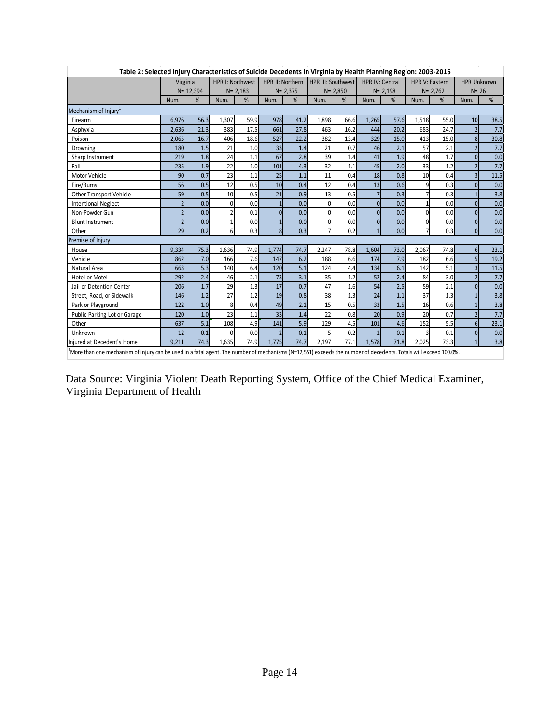| Table 2: Selected Injury Characteristics of Suicide Decedents in Virginia by Health Planning Region: 2003-2015 |              |                         |                  |                  |                  |      |                    |      |                          |              |                       |      |                    |      |
|----------------------------------------------------------------------------------------------------------------|--------------|-------------------------|------------------|------------------|------------------|------|--------------------|------|--------------------------|--------------|-----------------------|------|--------------------|------|
|                                                                                                                | Virginia     |                         |                  | HPR I: Northwest | HPR II: Northern |      | HPR III: Southwest |      | <b>HPR IV: Central</b>   |              | <b>HPR V: Eastern</b> |      | <b>HPR Unknown</b> |      |
|                                                                                                                | $N = 12,394$ |                         |                  | $N = 2,183$      | $N = 2,375$      |      | $N = 2,850$        |      | $N = 2,198$              |              | $N = 2,762$           |      | $N = 26$           |      |
|                                                                                                                | Num.         | %                       | Num.             | %                | Num.             | %    | Num.               | %    | Num.                     | %            | Num.                  | %    | Num.               | %    |
| Mechanism of Injury <sup>1</sup>                                                                               |              |                         |                  |                  |                  |      |                    |      |                          |              |                       |      |                    |      |
| Firearm                                                                                                        | 6,976        | 56.3                    | 1,307            | 59.9             | 978              | 41.2 | 1,898              | 66.6 | 1,265                    | 57.6         | 1,518                 | 55.0 | 10                 | 38.5 |
| Asphyxia                                                                                                       | 2,636        | 21.3                    | 383              | 17.5             | 661              | 27.8 | 463                | 16.2 | 444                      | 20.2         | 683                   | 24.7 | $\overline{2}$     | 7.7  |
| Poison                                                                                                         | 2,065        | 16.7                    | 406              | 18.6             | 527              | 22.2 | 382                | 13.4 | 329                      | 15.0         | 413                   | 15.0 | 8                  | 30.8 |
| Drowning                                                                                                       | 180          | 1.5                     | 21               | 1.0              | 33               | 1.4  | 21                 | 0.7  | 46                       | 2.1          | 57                    | 2.1  |                    | 7.7  |
| Sharp Instrument                                                                                               | 219          | 1.8                     | 24               | 1.1              | 67               | 2.8  | 39                 | 1.4  | 41                       | 1.9          | 48                    | 1.7  | $\overline{0}$     | 0.0  |
| Fall                                                                                                           | 235          | 1.9                     | 22               | 1.0              | 101              | 4.3  | 32                 | 1.1  | 45                       | 2.0          | 33                    | 1.2  |                    | 7.7  |
| Motor Vehicle                                                                                                  | 90           | 0.7                     | 23               | 1.1              | 25               | 1.1  | 11                 | 0.4  | 18                       | 0.8          | 10                    | 0.4  | $\overline{3}$     | 11.5 |
| Fire/Burns                                                                                                     | 56           | 0.5                     | 12               | 0.5              | 10               | 0.4  | 12                 | 0.4  | 13                       | 0.6          | 9                     | 0.3  | $\overline{0}$     | 0.0  |
| Other Transport Vehicle                                                                                        | 59           | 0.5                     | 10               | 0.5              | 21               | 0.9  | 13                 | 0.5  |                          | 0.3          |                       | 0.3  |                    | 3.8  |
| <b>Intentional Neglect</b>                                                                                     |              | 0.0                     | $\Omega$         | 0.0              | $\mathbf{1}$     | 0.0  | $\Omega$           | 0.0  | $\Omega$                 | 0.0          |                       | 0.0  | $\overline{0}$     | 0.0  |
| Non-Powder Gun                                                                                                 |              | 0.0                     | $\overline{2}$   | 0.1              | $\mathbf 0$      | 0.0  | $\Omega$           | 0.0  | $\Omega$                 | 0.0          | $\Omega$              | 0.0  | $\overline{0}$     | 0.0  |
| <b>Blunt Instrument</b>                                                                                        |              | 0.0                     | $\mathbf{1}$     | 0.0              | $\mathbf{1}$     | 0.0  | $\Omega$           | 0.0  | $\Omega$                 | 0.0          | $\Omega$              | 0.0  | $\overline{0}$     | 0.0  |
| Other                                                                                                          | 29           | 0.2                     | $6 \overline{6}$ | 0.3              | $\vert$          | 0.3  |                    | 0.2  |                          | 0.0          | $\overline{7}$        | 0.3  | <sub>0</sub>       | 0.0  |
| Premise of Injury                                                                                              |              |                         |                  |                  |                  |      |                    |      |                          |              |                       |      |                    |      |
| House                                                                                                          | 9,334        | 75.3                    | 1,636            | 74.9             | 1,774            | 74.7 | 2,247              | 78.8 | 1,604                    | 73.0         | 2,067                 | 74.8 | 6 <sup>1</sup>     | 23.1 |
| Vehicle                                                                                                        | 862          | 7.0                     | 166              | 7.6              | 147              | 6.2  | 188                | 6.6  | 174                      | 7.9          | 182                   | 6.6  | 5                  | 19.2 |
| Natural Area                                                                                                   | 663          | 5.3                     | 140              | 6.4              | 120              | 5.1  | 124                | 4.4  | 134                      | 6.1          | 142                   | 5.1  | $\overline{3}$     | 11.5 |
| <b>Hotel or Motel</b>                                                                                          | 292          | 2.4                     | 46               | 2.1              | 73               | 3.1  | 35                 | 1.2  | 52                       | 2.4          | 84                    | 3.0  |                    | 7.7  |
| Jail or Detention Center                                                                                       | 206          | 1.7                     | 29               | 1.3              | 17               | 0.7  | 47                 | 1.6  | 54                       | 2.5          | 59                    | 2.1  | $\overline{0}$     | 0.0  |
| Street, Road, or Sidewalk                                                                                      | 146          | 1.2                     | 27               | 1.2              | 19               | 0.8  | 38                 | 1.3  | 24                       | 1.1          | 37                    | 1.3  |                    | 3.8  |
| Park or Playground                                                                                             | 122          | 1.0                     | 8                | 0.4              | 49               | 2.1  | 15                 | 0.5  | 33 <sup>1</sup>          | 1.5          | 16                    | 0.6  |                    | 3.8  |
| Public Parking Lot or Garage                                                                                   | 120          | 1.0                     | 23               | 1.1              | 33               | 1.4  | 22                 | 0.8  | 20                       | 0.9          | 20                    | 0.7  | $\mathfrak z$      | 7.7  |
| Other                                                                                                          | 637          | 5.1                     | 108              | 4.9              | 141              | 5.9  | 129                | 4.5  | 101                      | 4.6          | 152                   | 5.5  | 6                  | 23.1 |
| Unknown                                                                                                        | 12           | 0.1                     | $\Omega$         | 0.0              | $\overline{2}$   | 0.1  |                    | 0.2  | $\overline{\phantom{0}}$ | 0.1          | 3                     | 0.1  | $\Omega$           | 0.0  |
| Injured at Decedent's Home                                                                                     | 9,211        | 74.3<br>$\cdot$ $\cdot$ | 1,635<br>$-1$    | 74.9             | 1,775            | 74.7 | 2,197              | 77.1 | 1,578<br>$\sim$ $\sim$   | 71.8<br>$-1$ | 2,025                 | 73.3 |                    | 3.8  |

<sup>1</sup>More than one mechanism of injury can be used in a fatal agent. The number of mechanisms (N=12,551) exceeds the number of decedents. Totals will exceed 100.0%.

Data Source: Virginia Violent Death Reporting System, Office of the Chief Medical Examiner, Virginia Department of Health